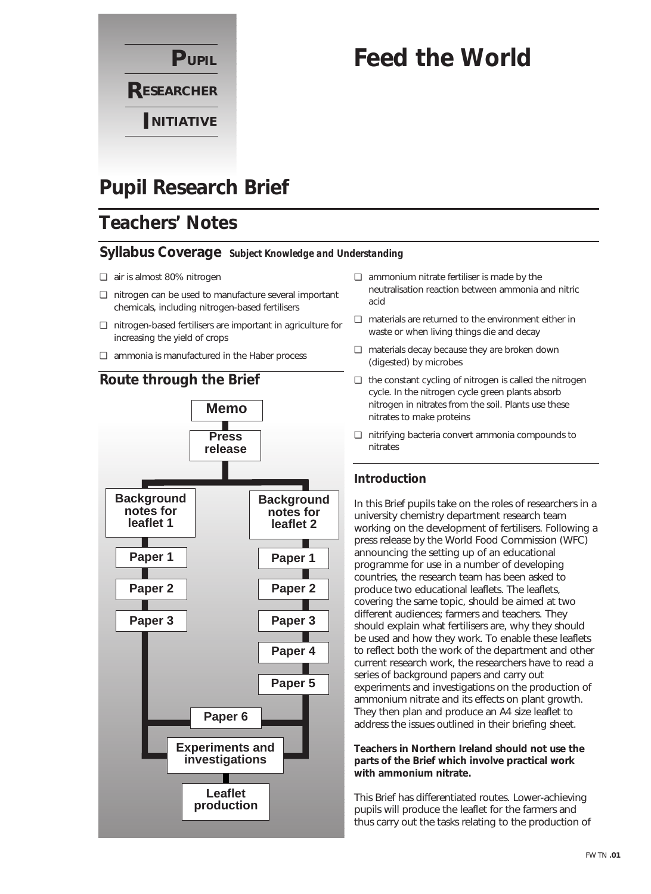

# **Feed the World**

# **Pupil Research Brief**

## **Teachers' Notes**

### **Syllabus Coverage** *Subject Knowledge and Understanding*

- ❏ air is almost 80% nitrogen
- ❏ nitrogen can be used to manufacture several important chemicals, including nitrogen-based fertilisers
- ❏ nitrogen-based fertilisers are important in agriculture for increasing the yield of crops
- ❏ ammonia is manufactured in the Haber process



- ❏ ammonium nitrate fertiliser is made by the neutralisation reaction between ammonia and nitric acid
- ❏ materials are returned to the environment either in waste or when living things die and decay
- ❏ materials decay because they are broken down (digested) by microbes
- ❏ the constant cycling of nitrogen is called the nitrogen cycle. In the nitrogen cycle green plants absorb nitrogen in nitrates from the soil. Plants use these nitrates to make proteins
- ❏ nitrifying bacteria convert ammonia compounds to nitrates

### **Introduction**

In this Brief pupils take on the roles of researchers in a university chemistry department research team working on the development of fertilisers. Following a press release by the World Food Commission (WFC) announcing the setting up of an educational programme for use in a number of developing countries, the research team has been asked to produce two educational leaflets. The leaflets, covering the same topic, should be aimed at two different audiences; farmers and teachers. They should explain what fertilisers are, why they should be used and how they work. To enable these leaflets to reflect both the work of the department and other current research work, the researchers have to read a series of background papers and carry out experiments and investigations on the production of ammonium nitrate and its effects on plant growth. They then plan and produce an A4 size leaflet to address the issues outlined in their briefing sheet.

**Teachers in Northern Ireland should not use the parts of the Brief which involve practical work with ammonium nitrate.** 

This Brief has differentiated routes. Lower-achieving pupils will produce the leaflet for the farmers and thus carry out the tasks relating to the production of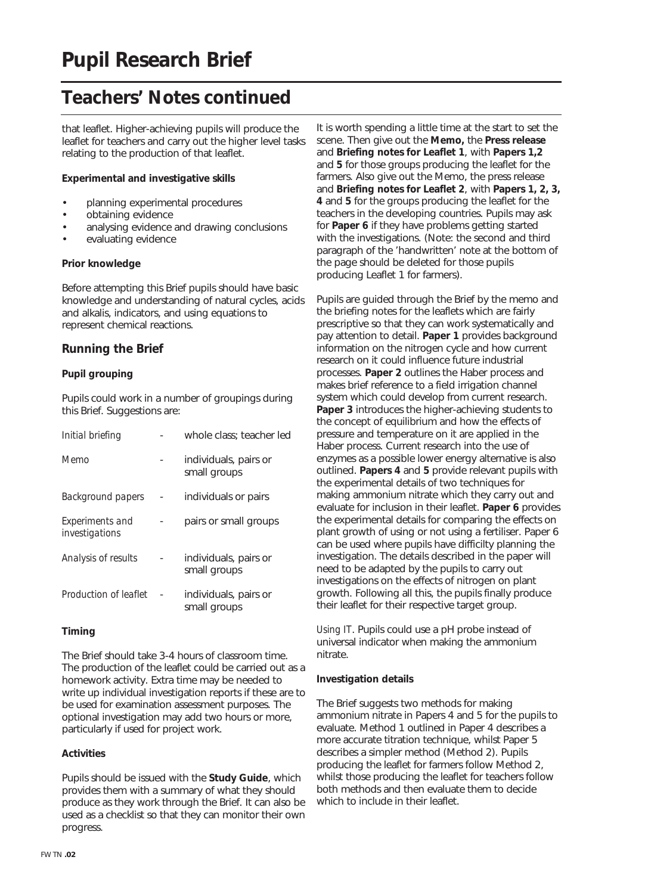### **Teachers' Notes continued**

that leaflet. Higher-achieving pupils will produce the leaflet for teachers and carry out the higher level tasks relating to the production of that leaflet.

#### **Experimental and investigative skills**

- planning experimental procedures
- obtaining evidence
- analysing evidence and drawing conclusions
- evaluating evidence

#### **Prior knowledge**

Before attempting this Brief pupils should have basic knowledge and understanding of natural cycles, acids and alkalis, indicators, and using equations to represent chemical reactions.

#### **Running the Brief**

#### **Pupil grouping**

Pupils could work in a number of groupings during this Brief. Suggestions are:

| Initial briefing                  | whole class: teacher led              |
|-----------------------------------|---------------------------------------|
| Memo                              | individuals, pairs or<br>small groups |
| <b>Background papers</b>          | individuals or pairs                  |
| Experiments and<br>investigations | pairs or small groups                 |
| Analysis of results               | individuals, pairs or<br>small groups |
| Production of leaflet             | individuals, pairs or<br>small groups |

#### **Timing**

The Brief should take 3-4 hours of classroom time. The production of the leaflet could be carried out as a homework activity. Extra time may be needed to write up individual investigation reports if these are to be used for examination assessment purposes. The optional investigation may add two hours or more, particularly if used for project work.

#### **Activities**

Pupils should be issued with the **Study Guide**, which provides them with a summary of what they should produce as they work through the Brief. It can also be used as a checklist so that they can monitor their own progress.

It is worth spending a little time at the start to set the scene. Then give out the **Memo,** the **Press release** and **Briefing notes for Leaflet 1**, with **Papers 1,2** and **5** for those groups producing the leaflet for the farmers. Also give out the Memo, the press release and **Briefing notes for Leaflet 2**, with **Papers 1, 2, 3, 4** and **5** for the groups producing the leaflet for the teachers in the developing countries. Pupils may ask for **Paper 6** if they have problems getting started with the investigations. (Note: the second and third paragraph of the 'handwritten' note at the bottom of the page should be deleted for those pupils producing Leaflet 1 for farmers).

Pupils are guided through the Brief by the memo and the briefing notes for the leaflets which are fairly prescriptive so that they can work systematically and pay attention to detail. **Paper 1** provides background information on the nitrogen cycle and how current research on it could influence future industrial processes. **Paper 2** outlines the Haber process and makes brief reference to a field irrigation channel system which could develop from current research. **Paper 3** introduces the higher-achieving students to the concept of equilibrium and how the effects of pressure and temperature on it are applied in the Haber process. Current research into the use of enzymes as a possible lower energy alternative is also outlined. **Papers 4** and **5** provide relevant pupils with the experimental details of two techniques for making ammonium nitrate which they carry out and evaluate for inclusion in their leaflet. **Paper 6** provides the experimental details for comparing the effects on plant growth of using or not using a fertiliser. Paper 6 can be used where pupils have difficilty planning the investigation. The details described in the paper will need to be adapted by the pupils to carry out investigations on the effects of nitrogen on plant growth. Following all this, the pupils finally produce their leaflet for their respective target group.

*Using IT*. Pupils could use a pH probe instead of universal indicator when making the ammonium nitrate.

#### **Investigation details**

The Brief suggests two methods for making ammonium nitrate in Papers 4 and 5 for the pupils to evaluate. Method 1 outlined in Paper 4 describes a more accurate titration technique, whilst Paper 5 describes a simpler method (Method 2). Pupils producing the leaflet for farmers follow Method 2, whilst those producing the leaflet for teachers follow both methods and then evaluate them to decide which to include in their leaflet.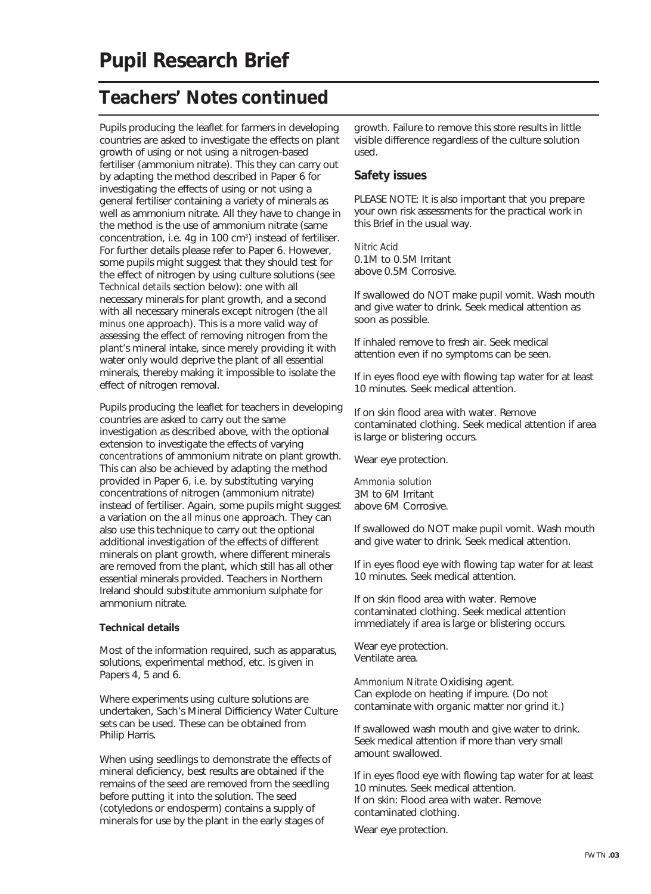## **Teachers' Notes continued**

Pupils producing the leaflet for farmers in developing countries are asked to investigate the effects on plant growth of using or not using a nitrogen-based fertiliser (ammonium nitrate). This they can carry out by adapting the method described in Paper 6 for investigating the effects of using or not using a general fertiliser containing a variety of minerals as well as ammonium nitrate. All they have to change in the method is the use of ammonium nitrate (same concentration, i.e. 4g in 100 cm<sup>3</sup>) instead of fertiliser. For further details please refer to Paper 6. However, some pupils might suggest that they should test for the effect of nitrogen by using culture solutions (see *Technical details* section below): one with all necessary minerals for plant growth, and a second with all necessary minerals except nitrogen (the *all minus one* approach). This is a more valid way of assessing the effect of removing nitrogen from the plant's mineral intake, since merely providing it with water only would deprive the plant of all essential minerals, thereby making it impossible to isolate the effect of nitrogen removal.

Pupils producing the leaflet for teachers in developing countries are asked to carry out the same investigation as described above, with the optional extension to investigate the effects of varying *concentrations* of ammonium nitrate on plant growth. This can also be achieved by adapting the method provided in Paper 6, i.e. by substituting varying concentrations of nitrogen (ammonium nitrate) instead of fertiliser. Again, some pupils might suggest a variation on the *all minus one* approach. They can also use this technique to carry out the optional additional investigation of the effects of different minerals on plant growth, where different minerals are removed from the plant, which still has all other essential minerals provided. Teachers in Northern Ireland should substitute ammonium sulphate for ammonium nitrate.

#### **Technical details**

Most of the information required, such as apparatus, solutions, experimental method, etc. is given in Papers 4, 5 and 6.

Where experiments using culture solutions are undertaken, Sach's Mineral Difficiency Water Culture sets can be used. These can be obtained from Philip Harris.

When using seedlings to demonstrate the effects of mineral deficiency, best results are obtained if the remains of the seed are removed from the seedling before putting it into the solution. The seed (cotyledons or endosperm) contains a supply of minerals for use by the plant in the early stages of

growth. Failure to remove this store results in little visible difference regardless of the culture solution used.

#### **Safety issues**

PLEASE NOTE: It is also important that you prepare your own risk assessments for the practical work in this Brief in the usual way.

*Nitric Acid* 0.1M to 0.5M Irritant above 0.5M Corrosive.

If swallowed do NOT make pupil vomit. Wash mouth and give water to drink. Seek medical attention as soon as possible.

If inhaled remove to fresh air. Seek medical attention even if no symptoms can be seen.

If in eyes flood eye with flowing tap water for at least 10 minutes. Seek medical attention.

If on skin flood area with water. Remove contaminated clothing. Seek medical attention if area is large or blistering occurs.

Wear eye protection.

*Ammonia solution* 3M to 6M Irritant above 6M Corrosive.

If swallowed do NOT make pupil vomit. Wash mouth and give water to drink. Seek medical attention.

If in eyes flood eye with flowing tap water for at least 10 minutes. Seek medical attention.

If on skin flood area with water. Remove contaminated clothing. Seek medical attention immediately if area is large or blistering occurs.

Wear eye protection. Ventilate area.

*Ammonium Nitrate* Oxidising agent. Can explode on heating if impure. (Do not contaminate with organic matter nor grind it.)

If swallowed wash mouth and give water to drink. Seek medical attention if more than very small amount swallowed.

If in eyes flood eye with flowing tap water for at least 10 minutes. Seek medical attention. If on skin: Flood area with water. Remove contaminated clothing.

Wear eye protection.